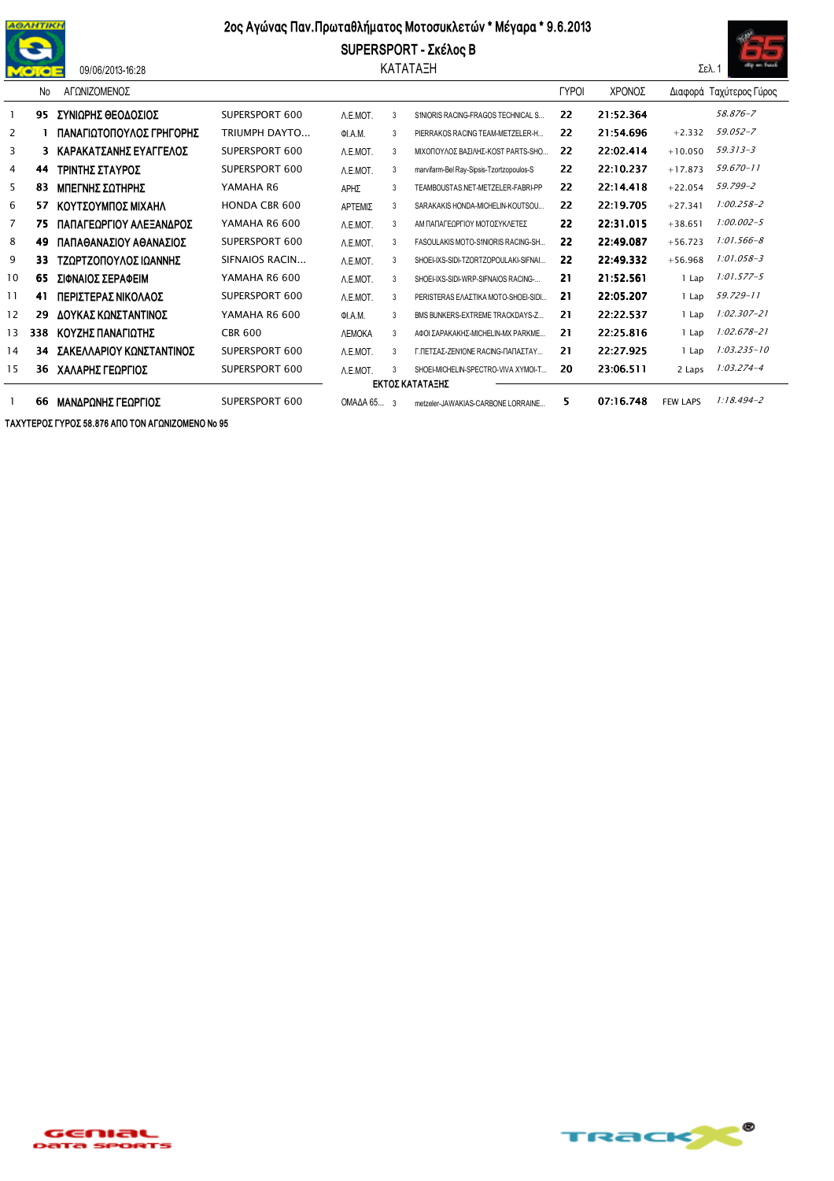

## 09/06/2013-16:28

## 2ος Αγώνας Παν. Πρωταθλήματος Μοτοσυκλετών \* Μέγαρα \* 9.6.2013

SUPERSPORT - Σκέλος Β ΚΑΤΑΤΑΞΗ



|    | No              | ΑΓΩΝΙΖΟΜΕΝΟΣ             |                      |                      |   |                                          | <b>TYPOI</b> | ΧΡΟΝΟΣ    |                 | Διαφορά Ταχύτερος Γύρος |  |  |
|----|-----------------|--------------------------|----------------------|----------------------|---|------------------------------------------|--------------|-----------|-----------------|-------------------------|--|--|
|    | 95              | ΣΥΝΙΩΡΗΣ ΘΕΟΔΟΣΙΟΣ       | SUPERSPORT 600       | A.E.MOT.             | 3 | S1NIORIS RACING-FRAGOS TECHNICAL S       | 22           | 21:52.364 |                 | 58.876-7                |  |  |
| 2  |                 | ΠΑΝΑΓΙΩΤΟΠΟΥΛΟΣ ΓΡΗΓΟΡΗΣ | TRIUMPH DAYTO        | ΦΙ.Α.Μ.              | 3 | PIERRAKOS RACING TEAM-METZELER-H         | 22           | 21:54.696 | $+2.332$        | 59.052-7                |  |  |
| 3  | 3               | ΚΑΡΑΚΑΤΣΑΝΗΣ ΕΥΑΓΓΕΛΟΣ   | SUPERSPORT 600       | A.E.MOT.             | 3 | ΜΙΧΟΠΟΥΛΟΣ ΒΑΣΙΛΗΣ-ΚΟST PARTS-SHO        | 22           | 22:02.414 | $+10.050$       | 59.313-3                |  |  |
| 4  | 44              | ΤΡΙΝΤΗΣ ΣΤΑΥΡΟΣ          | SUPERSPORT 600       | A.E.MOT.             | 3 | marvifarm-Bel Ray-Sipsis-Tzortzopoulos-S | 22           | 22:10.237 | $+17.873$       | $59.670 - 11$           |  |  |
| 5  | 83              | ΜΠΕΓΝΗΣ ΣΩΤΗΡΗΣ          | YAMAHA R6            | ΑΡΗΣ                 | 3 | TEAMBOUSTAS.NET-METZELER-FABRI-PP        | 22           | 22:14.418 | $+22.054$       | 59.799-2                |  |  |
| 6  | 57              | ΚΟΥΤΣΟΥΜΠΟΣ ΜΙΧΑΗΛ       | <b>HONDA CBR 600</b> | ΑΡΤΕΜΙΣ              | 3 | SARAKAKIS HONDA-MICHELIN-KOUTSOU         | 22           | 22:19.705 | $+27.341$       | $1:00.258 - 2$          |  |  |
| 7  | 75              | ΠΑΠΑΓΕΩΡΓΙΟΥ ΑΛΕΞΑΝΔΡΟΣ  | YAMAHA R6 600        | A.E.MOT.             | 3 | ΑΜ ΠΑΠΑΓΕΟΡΓΙΟΥ ΜΟΤΟΣΥΚΛΕΤΕΣ             | 22           | 22:31.015 | $+38.651$       | $1:00.002 - 5$          |  |  |
| 8  | 49              | ΠΑΠΑΘΑΝΑΣΙΟΥ ΑΘΑΝΑΣΙΟΣ   | SUPERSPORT 600       | A.E.MOT.             | 3 | FASOULAKIS MOTO-S1NIORIS RACING-SH       | 22           | 22:49.087 | $+56.723$       | $1:01.566 - 8$          |  |  |
| 9  | 33              | ΤΖΩΡΤΖΟΠΟΥΛΟΣ ΙΩΑΝΝΗΣ    | SIFNAIOS RACIN       | A.E.MOT.             | 3 | SHOEI-IXS-SIDI-TZORTZOPOULAKI-SIFNAL     | 22           | 22:49.332 | $+56.968$       | $1:01.058 - 3$          |  |  |
| 10 | 65              | ΣΙΦΝΑΙΟΣ ΣΕΡΑΦΕΙΜ        | YAMAHA R6 600        | A.E.MOT.             | 3 | SHOEI-IXS-SIDI-WRP-SIFNAIOS RACING-      | 21           | 21:52.561 | 1 Lap           | $1:01.577 - 5$          |  |  |
| 11 | 41              | ΠΕΡΙΣΤΕΡΑΣ ΝΙΚΟΛΑΟΣ      | SUPERSPORT 600       | A.E.MOT.             | 3 | PERISTERAS ΕΛΑΣΤΙΚΑ ΜΟΤΟ-SHOEI-SIDI      | 21           | 22:05.207 | 1 Lap           | 59.729-11               |  |  |
| 12 | 29              | ΔΟΥΚΑΣ ΚΩΝΣΤΑΝΤΙΝΟΣ      | YAMAHA R6 600        | <b>OI.A.M.</b>       | 3 | BMS BUNKERS-EXTREME TRACKDAYS-Z          | 21           | 22:22.537 | 1 Lap           | $1:02.307 - 21$         |  |  |
| 13 | 338             | ΚΟΥΖΗΣ ΠΑΝΑΓΙΩΤΗΣ        | <b>CBR 600</b>       | <b><i>NEMOKA</i></b> | 3 | ΑΦΟΙ ΣΑΡΑΚΑΚΗΣ-ΜΙΟΗΕLΙΝ-ΜΧ ΡΑRΚΜΕ        | 21           | 22:25.816 | 1 Lap           | $1:02.678 - 21$         |  |  |
| 14 | 34              | ΣΑΚΕΛΛΑΡΙΟΥ ΚΩΝΣΤΑΝΤΙΝΟΣ | SUPERSPORT 600       | A.E.MOT.             | 3 | Γ.ΠΕΤΣΑΣ-ΖΕΝ1ΟΝΕ RACING-ΠΑΠΑΣΤΑΥ         | 21           | 22:27.925 | 1 Lap           | $1:03.235 - 10$         |  |  |
| 15 | 36              | ΧΑΛΑΡΗΣ ΓΕΩΡΓΙΟΣ         | SUPERSPORT 600       | A.E.MOT.             | 3 | SHOEI-MICHELIN-SPECTRO-VIVA XYMOI-T      | 20           | 23:06.511 | 2 Laps          | $1:03.274 - 4$          |  |  |
|    | ΕΚΤΟΣ ΚΑΤΑΤΑΞΗΣ |                          |                      |                      |   |                                          |              |           |                 |                         |  |  |
|    | 66              | ΜΑΝΔΡΩΝΗΣ ΓΕΩΡΓΙΟΣ       | SUPERSPORT 600       | $OMAAA65$ 3          |   | metzeler-JAWAKIAS-CARBONE LORRAINE       | 5.           | 07:16.748 | <b>FEW LAPS</b> | $1:18.494 - 2$          |  |  |

ΤΑΧΥΤΕΡΟΣ ΓΥΡΟΣ 58.876 ΑΠΟ ΤΟΝ ΑΓΩΝΙΖΟΜΕΝΟ Νο 95